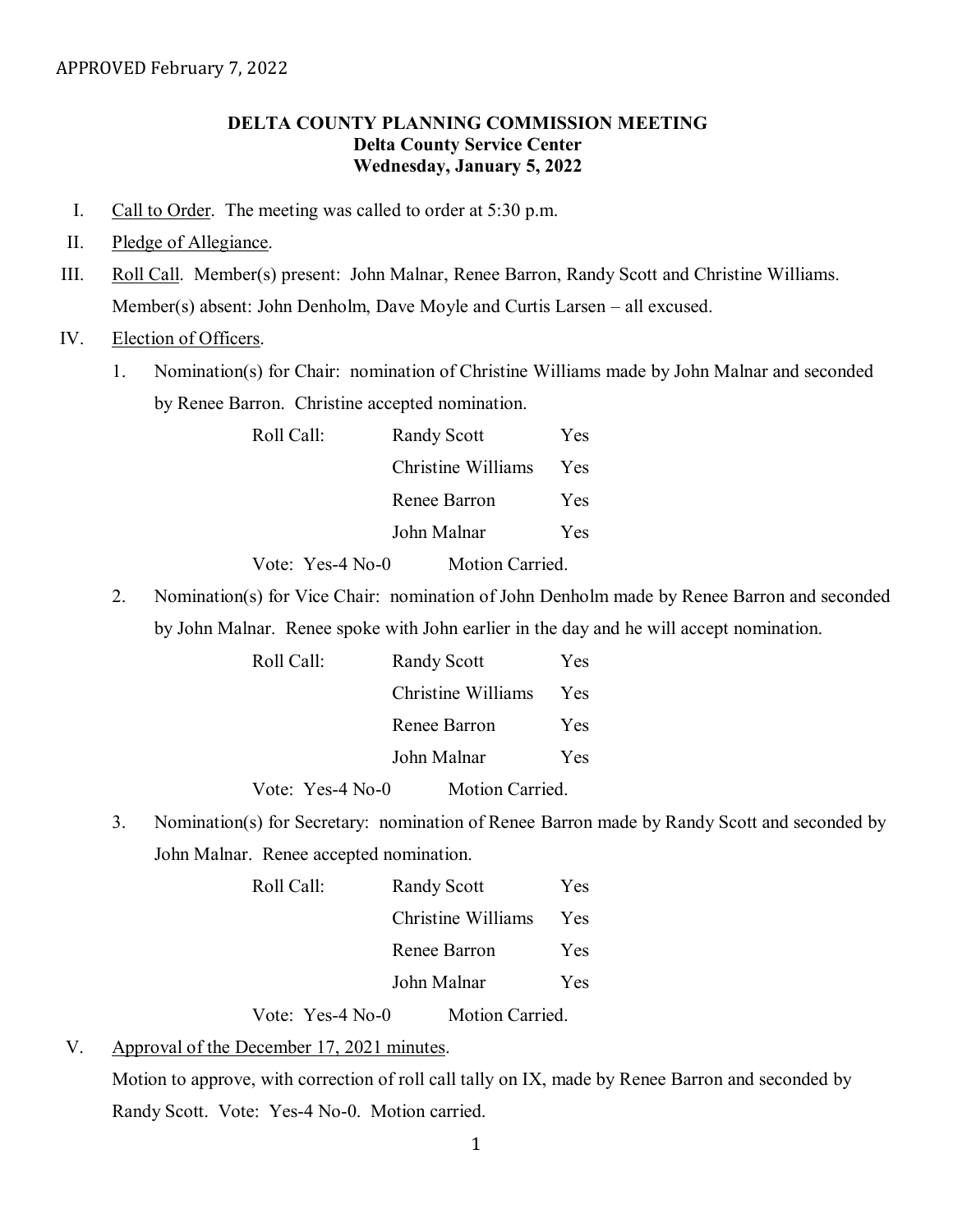## **DELTA COUNTY PLANNING COMMISSION MEETING Delta County Service Center Wednesday, January 5, 2022**

- I. Call to Order. The meeting was called to order at 5:30 p.m.
- II. Pledge of Allegiance.
- III. Roll Call. Member(s) present: John Malnar, Renee Barron, Randy Scott and Christine Williams. Member(s) absent: John Denholm, Dave Moyle and Curtis Larsen – all excused.

## IV. Election of Officers.

1. Nomination(s) for Chair: nomination of Christine Williams made by John Malnar and seconded by Renee Barron. Christine accepted nomination.

| Roll Call: | <b>Randy Scott</b> | Yes        |
|------------|--------------------|------------|
|            | Christine Williams | <b>Yes</b> |
|            | Renee Barron       | Yes        |
|            | John Malnar        | Yes        |
|            |                    |            |

Vote: Yes-4 No-0 Motion Carried.

2. Nomination(s) for Vice Chair: nomination of John Denholm made by Renee Barron and seconded by John Malnar. Renee spoke with John earlier in the day and he will accept nomination.

| Roll Call: |                  |              | <b>Randy Scott</b> |     |
|------------|------------------|--------------|--------------------|-----|
|            |                  |              | Christine Williams | Yes |
|            |                  | Renee Barron |                    |     |
|            | John Malnar      |              | <b>Yes</b>         |     |
|            | Vote: Yes-4 No-0 |              | Motion Carried.    |     |

3. Nomination(s) for Secretary: nomination of Renee Barron made by Randy Scott and seconded by John Malnar. Renee accepted nomination.

| Roll Call: |                    |              | <b>Randy Scott</b> |      |
|------------|--------------------|--------------|--------------------|------|
|            |                    |              | Christine Williams | Yes. |
|            |                    | Renee Barron |                    | Yes. |
|            | John Malnar        |              |                    | Yes. |
|            | Vote: Yes-4 $No-0$ |              | Motion Carried.    |      |

V. Approval of the December 17, 2021 minutes.

Motion to approve, with correction of roll call tally on IX, made by Renee Barron and seconded by Randy Scott. Vote: Yes-4 No-0. Motion carried.